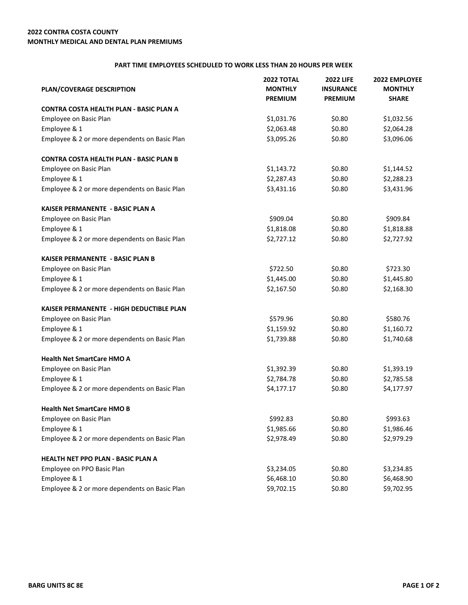## **2022 CONTRA COSTA COUNTY MONTHLY MEDICAL AND DENTAL PLAN PREMIUMS**

## **PART TIME EMPLOYEES SCHEDULED TO WORK LESS THAN 20 HOURS PER WEEK**

| <b>PLAN/COVERAGE DESCRIPTION</b>               | <b>2022 TOTAL</b><br><b>MONTHLY</b><br><b>PREMIUM</b> | <b>2022 LIFE</b><br><b>INSURANCE</b><br><b>PREMIUM</b> | 2022 EMPLOYEE<br><b>MONTHLY</b><br><b>SHARE</b> |
|------------------------------------------------|-------------------------------------------------------|--------------------------------------------------------|-------------------------------------------------|
| <b>CONTRA COSTA HEALTH PLAN - BASIC PLAN A</b> |                                                       |                                                        |                                                 |
| Employee on Basic Plan                         | \$1,031.76                                            | \$0.80                                                 | \$1,032.56                                      |
| Employee & 1                                   | \$2,063.48                                            | \$0.80                                                 | \$2,064.28                                      |
| Employee & 2 or more dependents on Basic Plan  | \$3,095.26                                            | \$0.80                                                 | \$3,096.06                                      |
| <b>CONTRA COSTA HEALTH PLAN - BASIC PLAN B</b> |                                                       |                                                        |                                                 |
| Employee on Basic Plan                         | \$1,143.72                                            | \$0.80                                                 | \$1,144.52                                      |
| Employee & 1                                   | \$2,287.43                                            | \$0.80                                                 | \$2,288.23                                      |
| Employee & 2 or more dependents on Basic Plan  | \$3,431.16                                            | \$0.80                                                 | \$3,431.96                                      |
| KAISER PERMANENTE - BASIC PLAN A               |                                                       |                                                        |                                                 |
| Employee on Basic Plan                         | \$909.04                                              | \$0.80                                                 | \$909.84                                        |
| Employee & 1                                   | \$1,818.08                                            | \$0.80                                                 | \$1,818.88                                      |
| Employee & 2 or more dependents on Basic Plan  | \$2,727.12                                            | \$0.80                                                 | \$2,727.92                                      |
| <b>KAISER PERMANENTE - BASIC PLAN B</b>        |                                                       |                                                        |                                                 |
| Employee on Basic Plan                         | \$722.50                                              | \$0.80                                                 | \$723.30                                        |
| Employee & 1                                   | \$1,445.00                                            | \$0.80                                                 | \$1,445.80                                      |
| Employee & 2 or more dependents on Basic Plan  | \$2,167.50                                            | \$0.80                                                 | \$2,168.30                                      |
| KAISER PERMANENTE - HIGH DEDUCTIBLE PLAN       |                                                       |                                                        |                                                 |
| Employee on Basic Plan                         | \$579.96                                              | \$0.80                                                 | \$580.76                                        |
| Employee & 1                                   | \$1,159.92                                            | \$0.80                                                 | \$1,160.72                                      |
| Employee & 2 or more dependents on Basic Plan  | \$1,739.88                                            | \$0.80                                                 | \$1,740.68                                      |
| <b>Health Net SmartCare HMO A</b>              |                                                       |                                                        |                                                 |
| Employee on Basic Plan                         | \$1,392.39                                            | \$0.80                                                 | \$1,393.19                                      |
| Employee & 1                                   | \$2,784.78                                            | \$0.80                                                 | \$2,785.58                                      |
| Employee & 2 or more dependents on Basic Plan  | \$4,177.17                                            | \$0.80                                                 | \$4,177.97                                      |
| <b>Health Net SmartCare HMO B</b>              |                                                       |                                                        |                                                 |
| Employee on Basic Plan                         | \$992.83                                              | \$0.80                                                 | \$993.63                                        |
| Employee & 1                                   | \$1,985.66                                            | \$0.80                                                 | \$1,986.46                                      |
| Employee & 2 or more dependents on Basic Plan  | \$2,978.49                                            | \$0.80                                                 | \$2,979.29                                      |
| <b>HEALTH NET PPO PLAN - BASIC PLAN A</b>      |                                                       |                                                        |                                                 |
| Employee on PPO Basic Plan                     | \$3,234.05                                            | \$0.80                                                 | \$3,234.85                                      |
| Employee & 1                                   | \$6,468.10                                            | \$0.80                                                 | \$6,468.90                                      |
| Employee & 2 or more dependents on Basic Plan  | \$9,702.15                                            | \$0.80                                                 | \$9,702.95                                      |